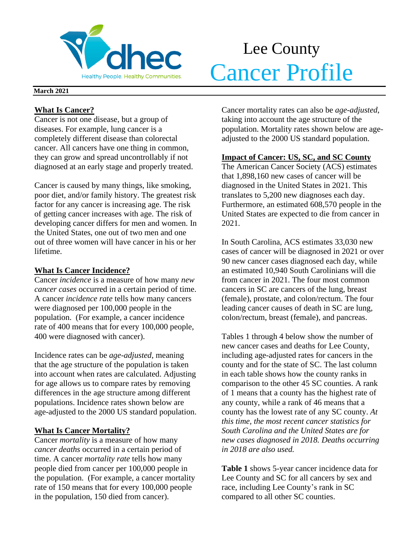

# Lee County **Cancer Profile**

#### **March 2021**

## **What Is Cancer?**

Cancer is not one disease, but a group of diseases. For example, lung cancer is a completely different disease than colorectal cancer. All cancers have one thing in common, they can grow and spread uncontrollably if not diagnosed at an early stage and properly treated.

Cancer is caused by many things, like smoking, poor diet, and/or family history. The greatest risk factor for any cancer is increasing age. The risk of getting cancer increases with age. The risk of developing cancer differs for men and women. In the United States, one out of two men and one out of three women will have cancer in his or her lifetime.

## **What Is Cancer Incidence?**

Cancer *incidence* is a measure of how many *new cancer cases* occurred in a certain period of time. A cancer *incidence rate* tells how many cancers were diagnosed per 100,000 people in the population. (For example, a cancer incidence rate of 400 means that for every 100,000 people, 400 were diagnosed with cancer).

Incidence rates can be *age-adjusted*, meaning that the age structure of the population is taken into account when rates are calculated. Adjusting for age allows us to compare rates by removing differences in the age structure among different populations. Incidence rates shown below are age-adjusted to the 2000 US standard population.

## **What Is Cancer Mortality?**

Cancer *mortality* is a measure of how many *cancer deaths* occurred in a certain period of time. A cancer *mortality rate* tells how many people died from cancer per 100,000 people in the population. (For example, a cancer mortality rate of 150 means that for every 100,000 people in the population, 150 died from cancer).

Cancer mortality rates can also be *age-adjusted*, taking into account the age structure of the population. Mortality rates shown below are ageadjusted to the 2000 US standard population.

## **Impact of Cancer: US, SC, and SC County**

The American Cancer Society (ACS) estimates that 1,898,160 new cases of cancer will be diagnosed in the United States in 2021. This translates to 5,200 new diagnoses each day. Furthermore, an estimated 608,570 people in the United States are expected to die from cancer in 2021.

In South Carolina, ACS estimates 33,030 new cases of cancer will be diagnosed in 2021 or over 90 new cancer cases diagnosed each day, while an estimated 10,940 South Carolinians will die from cancer in 2021. The four most common cancers in SC are cancers of the lung, breast (female), prostate, and colon/rectum. The four leading cancer causes of death in SC are lung, colon/rectum, breast (female), and pancreas.

Tables 1 through 4 below show the number of new cancer cases and deaths for Lee County, including age-adjusted rates for cancers in the county and for the state of SC. The last column in each table shows how the county ranks in comparison to the other 45 SC counties. A rank of 1 means that a county has the highest rate of any county, while a rank of 46 means that a county has the lowest rate of any SC county. *At this time, the most recent cancer statistics for South Carolina and the United States are for new cases diagnosed in 2018. Deaths occurring in 2018 are also used.*

**Table 1** shows 5-year cancer incidence data for Lee County and SC for all cancers by sex and race, including Lee County's rank in SC compared to all other SC counties.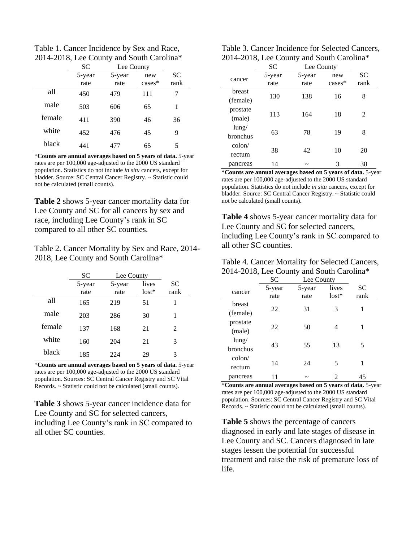Table 1. Cancer Incidence by Sex and Race, 2014-2018, Lee County and South Carolina\*

|        | <b>SC</b> | Lee County |           |           |
|--------|-----------|------------|-----------|-----------|
|        | 5-year    | 5-year     | new       | <b>SC</b> |
|        | rate      | rate       | $cases^*$ | rank      |
| all    | 450       | 479        | 111       |           |
| male   | 503       | 606        | 65        | 1         |
| female | 411       | 390        | 46        | 36        |
| white  | 452       | 476        | 45        | 9         |
| black  | 441       | 477        | 65        | 5         |

\***Counts are annual averages based on 5 years of data.** 5-year rates are per 100,000 age-adjusted to the 2000 US standard population. Statistics do not include *in situ* cancers, except for bladder. Source: SC Central Cancer Registry. ~ Statistic could not be calculated (small counts).

**Table 2** shows 5-year cancer mortality data for Lee County and SC for all cancers by sex and race, including Lee County's rank in SC compared to all other SC counties.

Table 2. Cancer Mortality by Sex and Race, 2014- 2018, Lee County and South Carolina\*

|        | SС             | Lee County     |                  |             |
|--------|----------------|----------------|------------------|-------------|
|        | 5-year<br>rate | 5-year<br>rate | lives<br>$lost*$ | SC.<br>rank |
| all    | 165            | 219            | 51               | 1           |
| male   | 203            | 286            | 30               | 1           |
| female | 137            | 168            | 21               | 2           |
| white  | 160            | 204            | 21               | 3           |
| black  | 185            | 224            | 29               | 3           |

\***Counts are annual averages based on 5 years of data.** 5-year rates are per 100,000 age-adjusted to the 2000 US standard population. Sources: SC Central Cancer Registry and SC Vital Records. ~ Statistic could not be calculated (small counts).

**Table 3** shows 5-year cancer incidence data for Lee County and SC for selected cancers, including Lee County's rank in SC compared to all other SC counties.

| Table 3. Cancer Incidence for Selected Cancers, |
|-------------------------------------------------|
| 2014-2018, Lee County and South Carolina*       |

|                           | SC             | Lee County     |                 |                   |
|---------------------------|----------------|----------------|-----------------|-------------------|
| cancer                    | 5-year<br>rate | 5-year<br>rate | new<br>$cases*$ | <b>SC</b><br>rank |
| breast<br>(female)        | 130            | 138            | 16              | 8                 |
| prostate<br>(male)        | 113            | 164            | 18              | 2                 |
| $l$ ung/<br>bronchus      | 63             | 78             | 19              | 8                 |
| $\text{colon}/$<br>rectum | 38             | 42             | 10              | 20                |
| pancreas                  | 14             | ~              | 3               | 38                |

\***Counts are annual averages based on 5 years of data.** 5-year rates are per 100,000 age-adjusted to the 2000 US standard population. Statistics do not include *in situ* cancers, except for bladder. Source: SC Central Cancer Registry. ~ Statistic could not be calculated (small counts).

**Table 4** shows 5-year cancer mortality data for Lee County and SC for selected cancers, including Lee County's rank in SC compared to all other SC counties.

| Table 4. Cancer Mortality for Selected Cancers, |
|-------------------------------------------------|
| 2014-2018, Lee County and South Carolina*       |

|                 | SC     | Lee County |         |           |
|-----------------|--------|------------|---------|-----------|
| cancer          | 5-year | 5-year     | lives   | <b>SC</b> |
|                 | rate   | rate       | $lost*$ | rank      |
| breast          | 22     |            |         | 1         |
| (female)        |        | 31         | 3       |           |
| prostate        |        |            |         | 1         |
| (male)          | 22     | 50         | 4       |           |
| $l$ ung/        |        |            |         |           |
| <b>bronchus</b> | 43     | 55         | 13      | 5         |
| $\text{colon}/$ |        |            |         |           |
| rectum          | 14     | 24         | 5       | 1         |
| pancreas        |        |            | 2       | 45        |

\***Counts are annual averages based on 5 years of data.** 5-year rates are per 100,000 age-adjusted to the 2000 US standard population. Sources: SC Central Cancer Registry and SC Vital Records. ~ Statistic could not be calculated (small counts).

**Table 5** shows the percentage of cancers diagnosed in early and late stages of disease in Lee County and SC. Cancers diagnosed in late stages lessen the potential for successful treatment and raise the risk of premature loss of life.